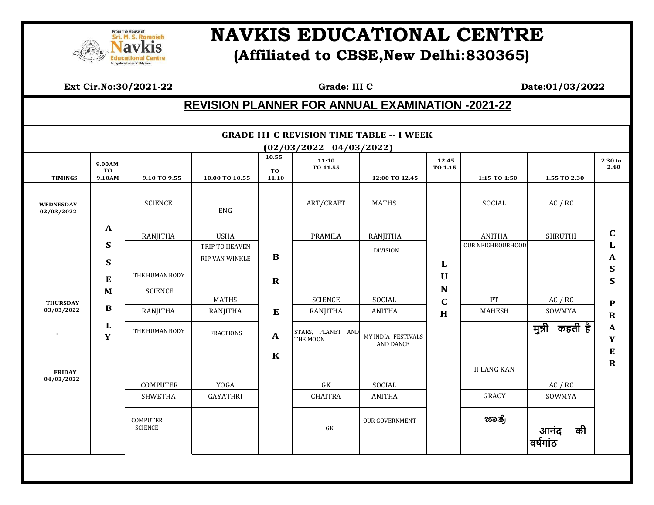

## **EQUERIMINAL READERS REPORT AND SUPPORT AND READER IN THE READER POINT AT A PART RE (Affiliated to CBSE,New Delhi:830365)**

 **Ext Cir.No:30/2021-22 Grade: III C Date:01/03/2022**

## **REVISION PLANNER FOR ANNUAL EXAMINATION -2021-22**

|                                |                        |                                   |                                  |                      | $(02/03/2022 - 04/03/2022)$   |                                  |                  |                    |                      |                          |
|--------------------------------|------------------------|-----------------------------------|----------------------------------|----------------------|-------------------------------|----------------------------------|------------------|--------------------|----------------------|--------------------------|
| <b>TIMINGS</b>                 | 9.00AM<br>TO<br>9.10AM | 9.10 TO 9.55                      | 10.00 TO 10.55                   | 10.55<br>TO<br>11.10 | 11:10<br>TO 11.55             | 12:00 TO 12.45                   | 12.45<br>TO 1.15 | 1:15 TO 1:50       | 1.55 TO 2.30         | 2.30 to<br>2.40          |
|                                |                        |                                   |                                  |                      |                               |                                  |                  |                    |                      |                          |
| <b>WEDNESDAY</b><br>02/03/2022 |                        | <b>SCIENCE</b>                    | ENG                              |                      | ART/CRAFT                     | <b>MATHS</b>                     |                  | SOCIAL             | AC / RC              |                          |
|                                | $\mathbf{A}$           | RANJITHA                          | <b>USHA</b>                      |                      | PRAMILA                       | RANJITHA                         |                  | <b>ANITHA</b>      | <b>SHRUTHI</b>       | $\mathbf C$              |
|                                | S<br>S                 |                                   | TRIP TO HEAVEN<br>RIP VAN WINKLE | $\bf{B}$             |                               | <b>DIVISION</b>                  | L                | OUR NEIGHBOURHOOD  |                      | L<br>A                   |
|                                |                        | THE HUMAN BODY                    |                                  |                      |                               |                                  | U                |                    |                      | $\mathbf S$              |
|                                | ${\bf E}$<br>M         | <b>SCIENCE</b>                    |                                  | $\mathbf R$          |                               |                                  | N                |                    |                      | $\mathbf S$              |
| <b>THURSDAY</b><br>03/03/2022  | $\bf{B}$               |                                   | MATHS                            | ${\bf E}$            | <b>SCIENCE</b>                | SOCIAL                           | $\mathbf C$<br>H | PT                 | AC / RC              | ${\bf P}$<br>$\mathbf R$ |
|                                |                        | RANJITHA                          | RANJITHA                         |                      | RANJITHA                      | <b>ANITHA</b>                    |                  | MAHESH             | SOWMYA               |                          |
|                                | L<br>Y                 | THE HUMAN BODY                    | <b>FRACTIONS</b>                 | $\mathbf{A}$         | STARS, PLANET AND<br>THE MOON | MY INDIA- FESTIVALS<br>AND DANCE |                  |                    | मुन्नी कहती है       | $\mathbf A$<br>Y         |
|                                |                        |                                   |                                  | $\mathbf K$          |                               |                                  |                  |                    |                      | ${\bf E}$                |
| <b>FRIDAY</b>                  |                        |                                   |                                  |                      |                               |                                  |                  | <b>II LANG KAN</b> |                      | $\mathbf R$              |
| 04/03/2022                     |                        | COMPUTER                          | YOGA                             |                      | ${\rm GK}$                    | SOCIAL                           |                  |                    | AC / RC              |                          |
|                                |                        | <b>SHWETHA</b>                    | GAYATHRI                         |                      | <b>CHAITRA</b>                | <b>ANITHA</b>                    |                  | <b>GRACY</b>       | SOWMYA               |                          |
|                                |                        | <b>COMPUTER</b><br><b>SCIENCE</b> |                                  |                      | GK                            | <b>OUR GOVERNMENT</b>            |                  | ಜಾತ್ರೆ             | की<br>आनट<br>वर्षगाठ |                          |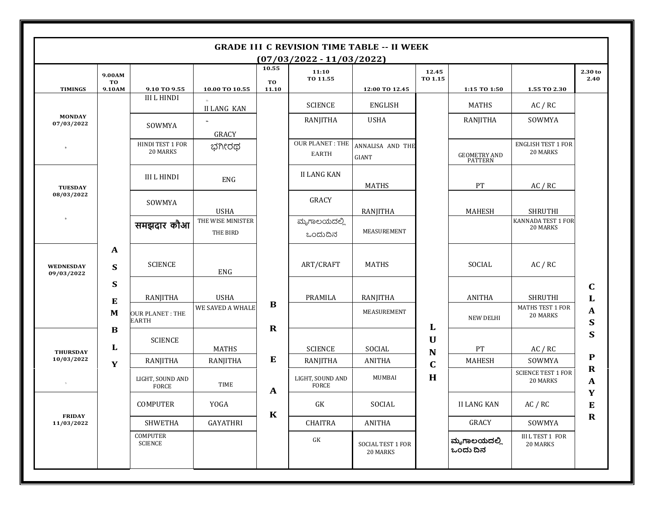|                                |                        |                                  |                               |                      | $(07/03/2022 - 11/03/2022)$            |                                      |                  |                                       |                                       |                            |
|--------------------------------|------------------------|----------------------------------|-------------------------------|----------------------|----------------------------------------|--------------------------------------|------------------|---------------------------------------|---------------------------------------|----------------------------|
| <b>TIMINGS</b>                 | 9.00AM<br>TO<br>9.10AM | 9.10 TO 9.55                     | 10.00 TO 10.55                | 10.55<br>TO<br>11.10 | 11:10<br>TO 11.55                      | 12:00 TO 12.45                       | 12.45<br>TO 1.15 | 1:15 TO 1:50                          | 1.55 TO 2.30                          | 2.30 to<br>2.40            |
| <b>MONDAY</b><br>07/03/2022    |                        | <b>III L HINDI</b>               | <b>II LANG KAN</b>            |                      | <b>SCIENCE</b>                         | ENGLISH                              |                  | <b>MATHS</b>                          | AC / RC                               |                            |
|                                |                        | SOWMYA                           | $\alpha$<br>GRACY             |                      | <b>RANJITHA</b>                        | <b>USHA</b>                          |                  | RANJITHA                              | SOWMYA                                |                            |
|                                |                        | HINDI TEST 1 FOR<br>20 MARKS     | ಭಗೀರಥ                         |                      | <b>OUR PLANET: THE</b><br><b>EARTH</b> | ANNALISA AND THE<br><b>GIANT</b>     |                  | <b>GEOMETRY AND</b><br><b>PATTERN</b> | <b>ENGLISH TEST 1 FOR</b><br>20 MARKS |                            |
| <b>TUESDAY</b><br>08/03/2022   |                        | <b>III L HINDI</b>               | ENG                           |                      | <b>II LANG KAN</b>                     | MATHS                                |                  | PT                                    | AC / RC                               |                            |
|                                |                        | SOWMYA                           | <b>USHA</b>                   |                      | GRACY                                  | RANJITHA                             |                  | <b>MAHESH</b>                         | <b>SHRUTHI</b>                        |                            |
|                                |                        | समझदार कौआ                       | THE WISE MINISTER<br>THE BIRD |                      | ಮೃಗಾಲಯದಲ್ಲಿ<br>ಒಂದುದಿನ                 | MEASUREMENT                          |                  |                                       | KANNADA TEST 1 FOR<br>20 MARKS        |                            |
| <b>WEDNESDAY</b><br>09/03/2022 | $\mathbf{A}$<br>S      | <b>SCIENCE</b>                   | <b>ENG</b>                    |                      | ART/CRAFT                              | <b>MATHS</b>                         |                  | SOCIAL                                | AC / RC                               |                            |
|                                | S<br>E                 | RANJITHA                         | <b>USHA</b>                   |                      | PRAMILA                                | RANJITHA                             |                  | <b>ANITHA</b>                         | <b>SHRUTHI</b>                        | $\mathbf C$<br>L           |
|                                | M                      | <b>OUR PLANET: THE</b><br>EARTH  | WE SAVED A WHALE              | B<br>$\mathbf R$     |                                        | MEASUREMENT                          | L                | <b>NEW DELHI</b>                      | <b>MATHS TEST 1 FOR</b><br>20 MARKS   | A<br>S                     |
| <b>THURSDAY</b><br>10/03/2022  | $\bf{B}$<br>L          | <b>SCIENCE</b>                   | <b>MATHS</b>                  |                      | <b>SCIENCE</b>                         | SOCIAL                               | $\mathbf U$<br>N | PT                                    | AC / RC                               | S                          |
|                                | Y                      | RANJITHA                         | RANJITHA                      | E                    | RANJITHA                               | <b>ANITHA</b>                        | $\mathbf C$      | <b>MAHESH</b>                         | SOWMYA                                | $\mathbf{P}$               |
| $\sim$                         |                        | LIGHT, SOUND AND<br><b>FORCE</b> | TIME                          | $\mathbf{A}$         | LIGHT, SOUND AND<br><b>FORCE</b>       | MUMBAI                               | H                |                                       | <b>SCIENCE TEST 1 FOR</b><br>20 MARKS | $\mathbf R$<br>$\mathbf A$ |
| <b>FRIDAY</b><br>11/03/2022    |                        | COMPUTER                         | YOGA                          | $\bf K$              | ${\rm GK}$                             | SOCIAL                               |                  | <b>II LANG KAN</b>                    | AC / RC                               | Y<br>$\bf{E}$              |
|                                |                        | <b>SHWETHA</b>                   | GAYATHRI                      |                      | <b>CHAITRA</b>                         | ANITHA                               |                  | GRACY                                 | SOWMYA                                | $\mathbf R$                |
|                                |                        | <b>COMPUTER</b><br>SCIENCE       |                               |                      | ${\rm GK}$                             | <b>SOCIAL TEST 1 FOR</b><br>20 MARKS |                  | ಮೃಗಾಲಯದಲ್ಲಿ<br>ಒಂದು ದಿನ               | <b>III L TEST 1 FOR</b><br>20 MARKS   |                            |